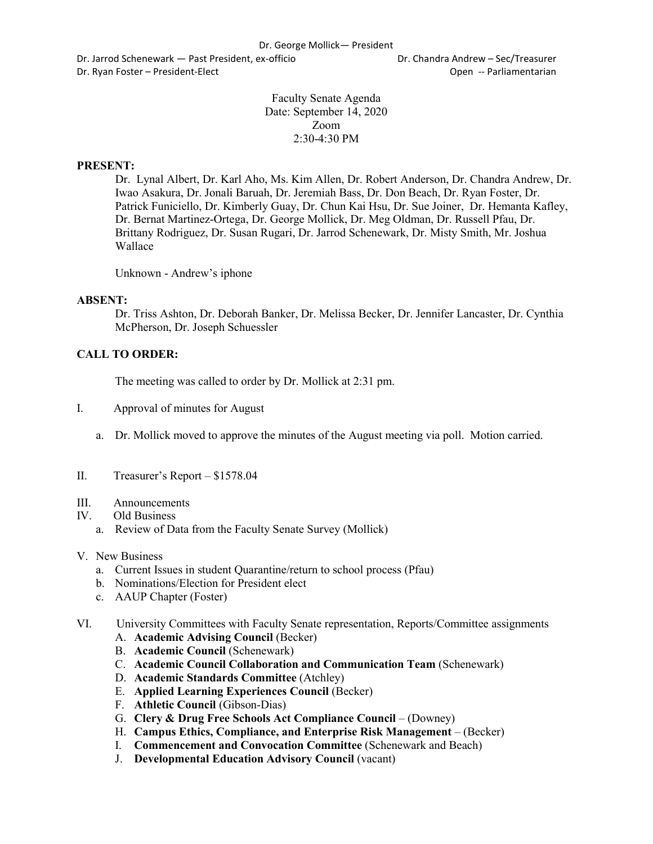Dr. Jarrod Schenewark — Past President, ex-officio Dr. Chandra Andrew – Sec/Treasurer Dr. Ryan Foster – President-Elect Open -- Parliamentarian

## Faculty Senate Agenda Date: September 14, 2020 Zoom  $2:30-4:30$  PM

### **PRESENT:**

Dr. Lynal Albert, Dr. Karl Aho, Ms. Kim Allen, Dr. Robert Anderson, Dr. Chandra Andrew, Dr. Iwao Asakura, Dr. Jonali Baruah, Dr. Jeremiah Bass, Dr. Don Beach, Dr. Ryan Foster, Dr. Patrick Funiciello, Dr. Kimberly Guay, Dr. Chun Kai Hsu, Dr. Sue Joiner, Dr. Hemanta Kafley, Dr. Bernat Martinez-Ortega, Dr. George Mollick, Dr. Meg Oldman, Dr. Russell Pfau, Dr. Brittany Rodriguez, Dr. Susan Rugari, Dr. Jarrod Schenewark, Dr. Misty Smith, Mr. Joshua Wallace

Unknown - Andrew's iphone

#### **ABSENT:**

Dr. Triss Ashton, Dr. Deborah Banker, Dr. Melissa Becker, Dr. Jennifer Lancaster, Dr. Cynthia McPherson, Dr. Joseph Schuessler

## **CALL TO ORDER:**

The meeting was called to order by Dr. Mollick at 2:31 pm.

- I. Approval of minutes for August
	- a. Dr. Mollick moved to approve the minutes of the August meeting via poll. Motion carried.
- II. Treasurer's Report \$1578.04
- III. Announcements
- IV. Old Business
	- a. Review of Data from the Faculty Senate Survey (Mollick)

#### V. New Business

- a. Current Issues in student Quarantine/return to school process (Pfau)
- b. Nominations/Election for President elect
- c. AAUP Chapter (Foster)

VI. University Committees with Faculty Senate representation, Reports/Committee assignments

- A. **Academic Advising Council** (Becker)
- B. **Academic Council** (Schenewark)
- C. **Academic Council Collaboration and Communication Team** (Schenewark)
- D. **Academic Standards Committee** (Atchley)
- E. **Applied Learning Experiences Council** (Becker)
- F. **Athletic Council** (Gibson-Dias)
- G. **Clery & Drug Free Schools Act Compliance Council** (Downey)
- H. **Campus Ethics, Compliance, and Enterprise Risk Management**  (Becker)
- I. **Commencement and Convocation Committee** (Schenewark and Beach)
- J. **Developmental Education Advisory Council** (vacant)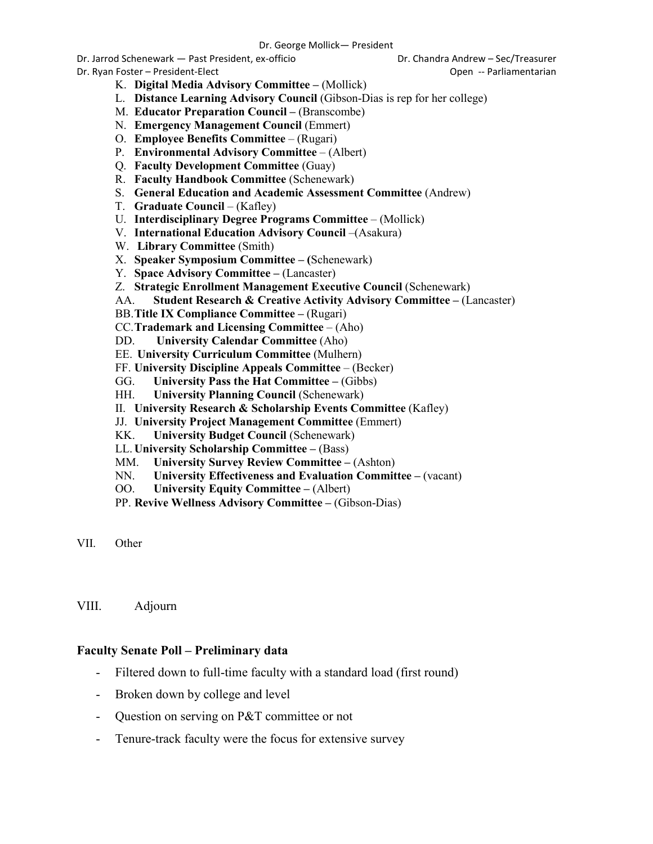Dr. Jarrod Schenewark — Past President, ex-officio Dr. Chandra Andrew – Sec/Treasurer

- Dr. Ryan Foster President-Elect Open -- Parliamentarian
	- K. **Digital Media Advisory Committee –** (Mollick)
	- L. **Distance Learning Advisory Council** (Gibson-Dias is rep for her college)
	- M. **Educator Preparation Council –** (Branscombe)
	- N. **Emergency Management Council** (Emmert)
	- O. **Employee Benefits Committee**  (Rugari)
	- P. **Environmental Advisory Committee**  (Albert)
	- Q. **Faculty Development Committee** (Guay)
	- R. **Faculty Handbook Committee** (Schenewark)
	- S. **General Education and Academic Assessment Committee** (Andrew)
	- T. **Graduate Council**  (Kafley)
	- U. **Interdisciplinary Degree Programs Committee**  (Mollick)
	- V. **International Education Advisory Council** –(Asakura)
	- W. **Library Committee** (Smith)
	- X. **Speaker Symposium Committee – (**Schenewark)
	- Y. **Space Advisory Committee –** (Lancaster)
	- Z. **Strategic Enrollment Management Executive Council** (Schenewark)
	- AA. **Student Research & Creative Activity Advisory Committee –** (Lancaster)
	- BB.**Title IX Compliance Committee –** (Rugari)
	- CC.**Trademark and Licensing Committee**  (Aho)
	- DD. **University Calendar Committee** (Aho)
	- EE. **University Curriculum Committee** (Mulhern)
	- FF. **University Discipline Appeals Committee**  (Becker)
	- GG. **University Pass the Hat Committee –** (Gibbs)
	- HH. **University Planning Council (Schenewark)**
	- II. **University Research & Scholarship Events Committee** (Kafley)
	- JJ. **University Project Management Committee** (Emmert)
	- KK. **University Budget Council** (Schenewark)
	- LL. **University Scholarship Committee –** (Bass)
	- MM. **University Survey Review Committee –** (Ashton)
	- NN. **University Effectiveness and Evaluation Committee –** (vacant)
	- OO. **University Equity Committee –** (Albert)
	- PP. **Revive Wellness Advisory Committee –** (Gibson-Dias)

VII. Other

VIII. Adjourn

### **Faculty Senate Poll – Preliminary data**

- Filtered down to full-time faculty with a standard load (first round)
- Broken down by college and level
- Question on serving on P&T committee or not
- Tenure-track faculty were the focus for extensive survey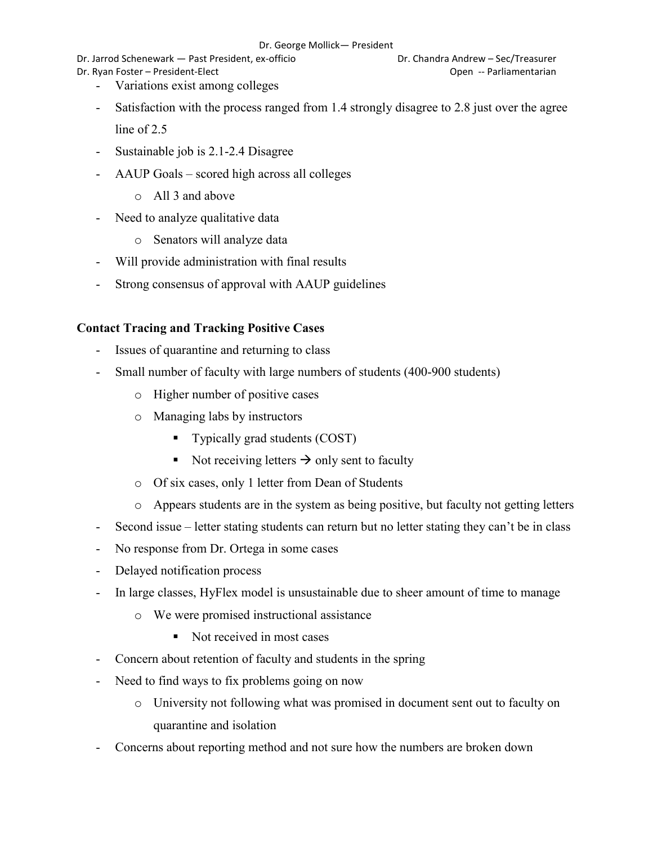Dr. Jarrod Schenewark — Past President, ex-officio Dr. Chandra Andrew – Sec/Treasurer Dr. Ryan Foster – President-Elect Open -- Parliamentarian

- Variations exist among colleges
- Satisfaction with the process ranged from 1.4 strongly disagree to 2.8 just over the agree line of 2.5
- Sustainable job is 2.1-2.4 Disagree
- AAUP Goals scored high across all colleges
	- o All 3 and above
- Need to analyze qualitative data
	- o Senators will analyze data
- Will provide administration with final results
- Strong consensus of approval with AAUP guidelines

## **Contact Tracing and Tracking Positive Cases**

- Issues of quarantine and returning to class
- Small number of faculty with large numbers of students (400-900 students)
	- o Higher number of positive cases
	- o Managing labs by instructors
		- **Typically grad students (COST)**
		- Not receiving letters  $\rightarrow$  only sent to faculty
	- o Of six cases, only 1 letter from Dean of Students
	- o Appears students are in the system as being positive, but faculty not getting letters
- Second issue letter stating students can return but no letter stating they can't be in class
- No response from Dr. Ortega in some cases
- Delayed notification process
- In large classes, HyFlex model is unsustainable due to sheer amount of time to manage
	- o We were promised instructional assistance
		- Not received in most cases
- Concern about retention of faculty and students in the spring
- Need to find ways to fix problems going on now
	- o University not following what was promised in document sent out to faculty on quarantine and isolation
- Concerns about reporting method and not sure how the numbers are broken down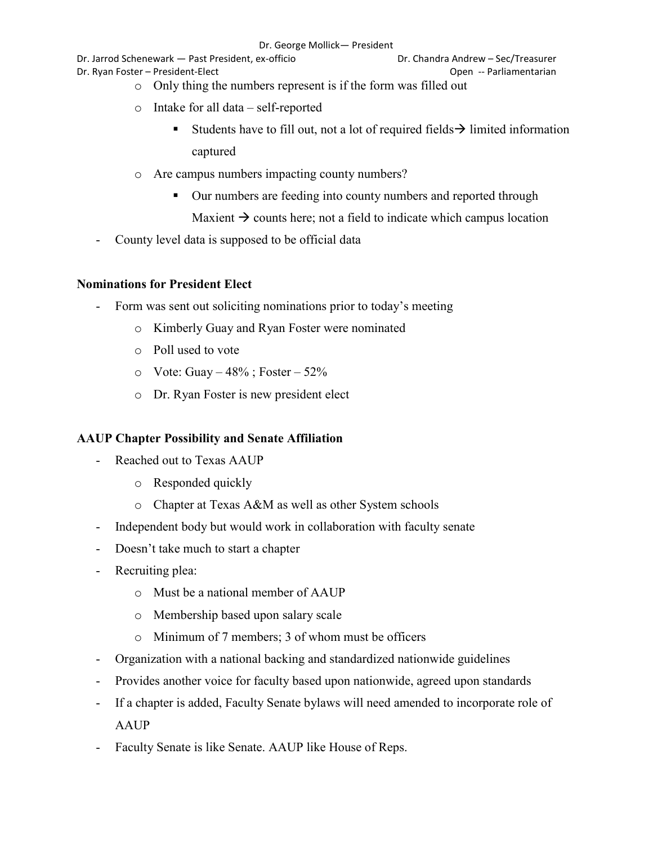Dr. Jarrod Schenewark — Past President, ex-officio Dr. Chandra Andrew – Sec/Treasurer Dr. Ryan Foster – President-Elect Open -- Parliamentarian

- o Only thing the numbers represent is if the form was filled out
- o Intake for all data self-reported
	- Students have to fill out, not a lot of required fields  $\rightarrow$  limited information captured
- o Are campus numbers impacting county numbers?
	- Our numbers are feeding into county numbers and reported through

Maxient  $\rightarrow$  counts here; not a field to indicate which campus location

- County level data is supposed to be official data

## **Nominations for President Elect**

- Form was sent out soliciting nominations prior to today's meeting
	- o Kimberly Guay and Ryan Foster were nominated
	- o Poll used to vote
	- $\circ$  Vote: Guay 48%; Foster 52%
	- o Dr. Ryan Foster is new president elect

# **AAUP Chapter Possibility and Senate Affiliation**

- Reached out to Texas AAUP
	- o Responded quickly
	- o Chapter at Texas A&M as well as other System schools
- Independent body but would work in collaboration with faculty senate
- Doesn't take much to start a chapter
- Recruiting plea:
	- o Must be a national member of AAUP
	- o Membership based upon salary scale
	- o Minimum of 7 members; 3 of whom must be officers
- Organization with a national backing and standardized nationwide guidelines
- Provides another voice for faculty based upon nationwide, agreed upon standards
- If a chapter is added, Faculty Senate bylaws will need amended to incorporate role of AAUP
- Faculty Senate is like Senate. AAUP like House of Reps.